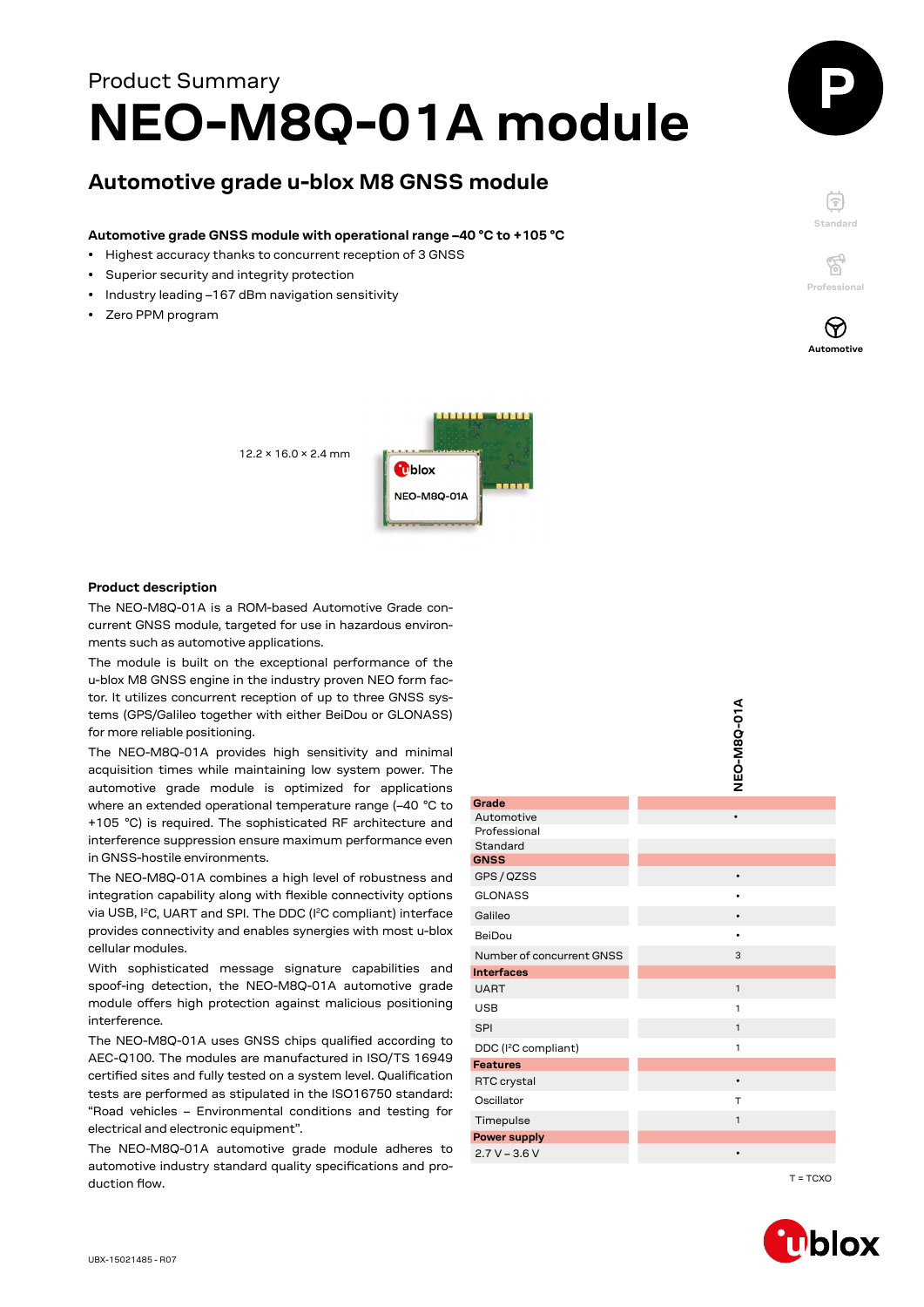# **NEO-M8Q-01A module** Product Summary

# **Automotive grade u-blox M8 GNSS module**

#### **Automotive grade GNSS module with operational range –40 °C to +105 °C**

- Highest accuracy thanks to concurrent reception of 3 GNSS
- Superior security and integrity protection
- Industry leading –167 dBm navigation sensitivity
- Zero PPM program





 $\mathbb{Z}^3$ **Professional**



#### **Product description**

The NEO-M8Q-01A is a ROM-based Automotive Grade concurrent GNSS module, targeted for use in hazardous environments such as automotive applications.

The module is built on the exceptional performance of the u-blox M8 GNSS engine in the industry proven NEO form factor. It utilizes concurrent reception of up to three GNSS systems (GPS/Galileo together with either BeiDou or GLONASS) for more reliable positioning.

| ton it attilizes concarrent reception or up to timee only sys<br>tems (GPS/Galileo together with either BeiDou or GLONASS)<br>for more reliable positioning.<br>The NEO-M8Q-01A provides high sensitivity and minimal<br>acquisition times while maintaining low system power. The<br>automotive grade module is optimized for applications |                                  | ALO-M8Q-01A  |
|---------------------------------------------------------------------------------------------------------------------------------------------------------------------------------------------------------------------------------------------------------------------------------------------------------------------------------------------|----------------------------------|--------------|
| where an extended operational temperature range (-40 °C to                                                                                                                                                                                                                                                                                  | Grade                            |              |
| +105 °C) is required. The sophisticated RF architecture and                                                                                                                                                                                                                                                                                 | Automotive                       | $\bullet$    |
| interference suppression ensure maximum performance even<br>in GNSS-hostile environments.                                                                                                                                                                                                                                                   | Professional                     |              |
|                                                                                                                                                                                                                                                                                                                                             | Standard<br><b>GNSS</b>          |              |
| The NEO-M8Q-01A combines a high level of robustness and                                                                                                                                                                                                                                                                                     | GPS / QZSS                       | $\bullet$    |
| integration capability along with flexible connectivity options                                                                                                                                                                                                                                                                             | <b>GLONASS</b>                   |              |
| via USB, I <sup>2</sup> C, UART and SPI. The DDC (I <sup>2</sup> C compliant) interface                                                                                                                                                                                                                                                     | Galileo                          |              |
| provides connectivity and enables synergies with most u-blox                                                                                                                                                                                                                                                                                | BeiDou                           |              |
| cellular modules.                                                                                                                                                                                                                                                                                                                           | Number of concurrent GNSS        | 3            |
| With sophisticated message signature capabilities and                                                                                                                                                                                                                                                                                       | <b>Interfaces</b>                |              |
| spoof-ing detection, the NEO-M8Q-01A automotive grade                                                                                                                                                                                                                                                                                       | <b>UART</b>                      | $\mathbf{1}$ |
| module offers high protection against malicious positioning                                                                                                                                                                                                                                                                                 | <b>USB</b>                       | $\mathbf{1}$ |
| interference.                                                                                                                                                                                                                                                                                                                               | <b>SPI</b>                       | $\mathbf{1}$ |
| The NEO-M8Q-01A uses GNSS chips qualified according to                                                                                                                                                                                                                                                                                      | DDC (I <sup>2</sup> C compliant) | $\mathbf{1}$ |
| AEC-Q100. The modules are manufactured in ISO/TS 16949                                                                                                                                                                                                                                                                                      | <b>Features</b>                  |              |
| certified sites and fully tested on a system level. Qualification                                                                                                                                                                                                                                                                           | RTC crystal                      | $\bullet$    |
| tests are performed as stipulated in the ISO16750 standard:<br>"Road vehicles - Environmental conditions and testing for                                                                                                                                                                                                                    | Oscillator                       | $\top$       |
| electrical and electronic equipment".                                                                                                                                                                                                                                                                                                       | Timepulse                        | $\mathbf{1}$ |
| The NEO-M8Q-01A automotive grade module adheres to                                                                                                                                                                                                                                                                                          | <b>Power supply</b>              |              |
| automotive industry standard quality specifications and pro-                                                                                                                                                                                                                                                                                | $2.7 V - 3.6 V$                  |              |
| duction flow.                                                                                                                                                                                                                                                                                                                               |                                  | $T = TCXO$   |